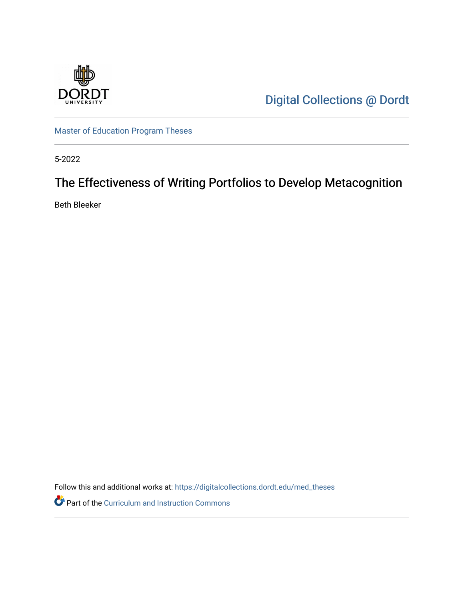

[Digital Collections @ Dordt](https://digitalcollections.dordt.edu/) 

[Master of Education Program Theses](https://digitalcollections.dordt.edu/med_theses) 

5-2022

# The Effectiveness of Writing Portfolios to Develop Metacognition

Beth Bleeker

Follow this and additional works at: [https://digitalcollections.dordt.edu/med\\_theses](https://digitalcollections.dordt.edu/med_theses?utm_source=digitalcollections.dordt.edu%2Fmed_theses%2F161&utm_medium=PDF&utm_campaign=PDFCoverPages)

Part of the [Curriculum and Instruction Commons](http://network.bepress.com/hgg/discipline/786?utm_source=digitalcollections.dordt.edu%2Fmed_theses%2F161&utm_medium=PDF&utm_campaign=PDFCoverPages)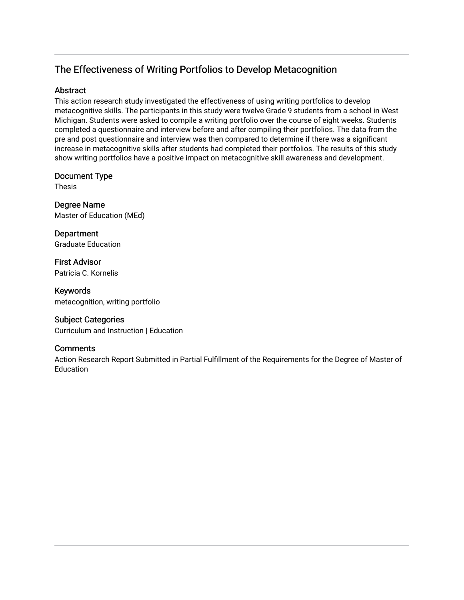# The Effectiveness of Writing Portfolios to Develop Metacognition

# **Abstract**

This action research study investigated the effectiveness of using writing portfolios to develop metacognitive skills. The participants in this study were twelve Grade 9 students from a school in West Michigan. Students were asked to compile a writing portfolio over the course of eight weeks. Students completed a questionnaire and interview before and after compiling their portfolios. The data from the pre and post questionnaire and interview was then compared to determine if there was a significant increase in metacognitive skills after students had completed their portfolios. The results of this study show writing portfolios have a positive impact on metacognitive skill awareness and development.

# Document Type

Thesis

Degree Name Master of Education (MEd)

**Department** Graduate Education

First Advisor Patricia C. Kornelis

Keywords metacognition, writing portfolio

# Subject Categories

Curriculum and Instruction | Education

# **Comments**

Action Research Report Submitted in Partial Fulfillment of the Requirements for the Degree of Master of Education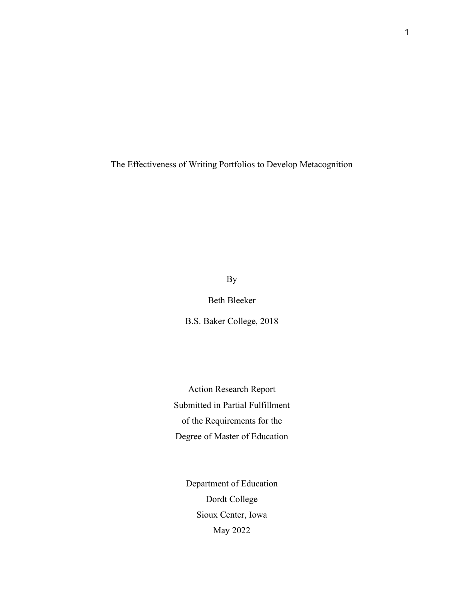The Effectiveness of Writing Portfolios to Develop Metacognition

By

Beth Bleeker

B.S. Baker College, 2018

Action Research Report Submitted in Partial Fulfillment of the Requirements for the Degree of Master of Education

Department of Education Dordt College Sioux Center, Iowa May 2022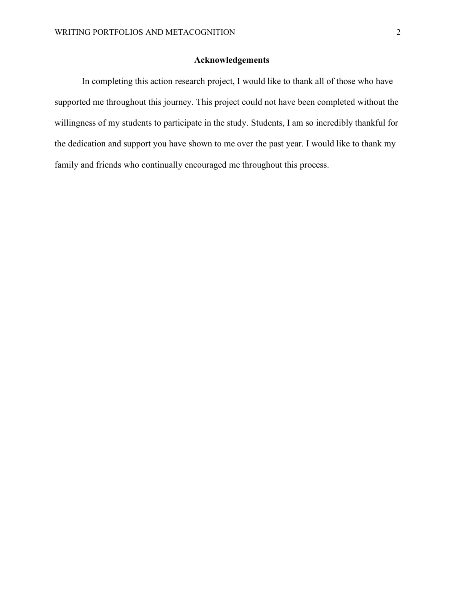# **Acknowledgements**

<span id="page-3-1"></span><span id="page-3-0"></span>In completing this action research project, I would like to thank all of those who have supported me throughout this journey. This project could not have been completed without the willingness of my students to participate in the study. Students, I am so incredibly thankful for the dedication and support you have shown to me over the past year. I would like to thank my family and friends who continually encouraged me throughout this process.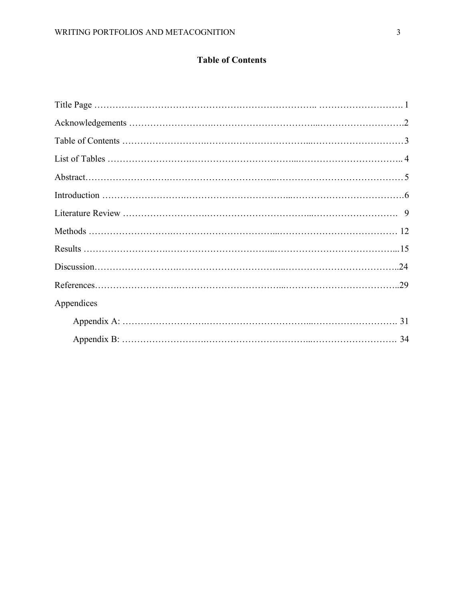# **Table of Contents**

| Appendices |
|------------|
|            |
|            |
|            |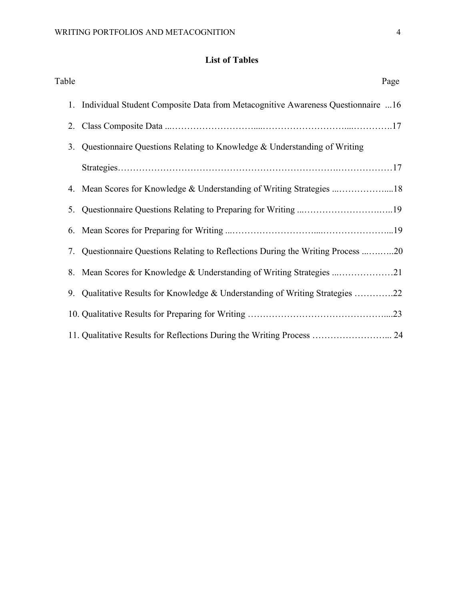# **List of Tables**

<span id="page-5-0"></span>

| Table | Page                                                                             |
|-------|----------------------------------------------------------------------------------|
| 1.    | Individual Student Composite Data from Metacognitive Awareness Questionnaire 16  |
|       |                                                                                  |
| 3.    | Questionnaire Questions Relating to Knowledge & Understanding of Writing         |
|       |                                                                                  |
|       | 4. Mean Scores for Knowledge & Understanding of Writing Strategies 18            |
| 5.    |                                                                                  |
|       |                                                                                  |
|       | 7. Questionnaire Questions Relating to Reflections During the Writing Process 20 |
|       |                                                                                  |
|       | 9. Qualitative Results for Knowledge & Understanding of Writing Strategies 22    |
|       |                                                                                  |
|       | 11. Qualitative Results for Reflections During the Writing Process  24           |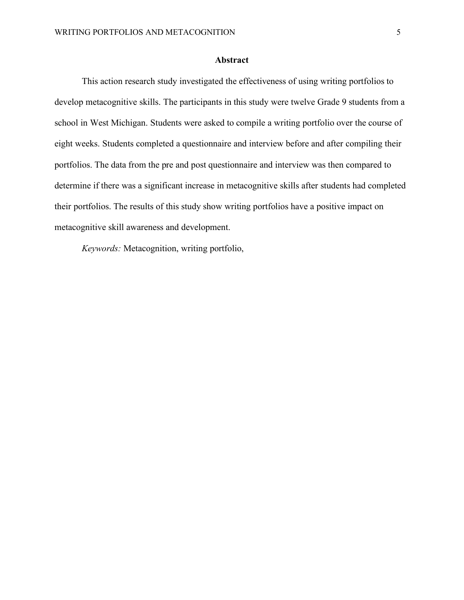#### **Abstract**

<span id="page-6-0"></span>This action research study investigated the effectiveness of using writing portfolios to develop metacognitive skills. The participants in this study were twelve Grade 9 students from a school in West Michigan. Students were asked to compile a writing portfolio over the course of eight weeks. Students completed a questionnaire and interview before and after compiling their portfolios. The data from the pre and post questionnaire and interview was then compared to determine if there was a significant increase in metacognitive skills after students had completed their portfolios. The results of this study show writing portfolios have a positive impact on metacognitive skill awareness and development.

*Keywords:* Metacognition, writing portfolio,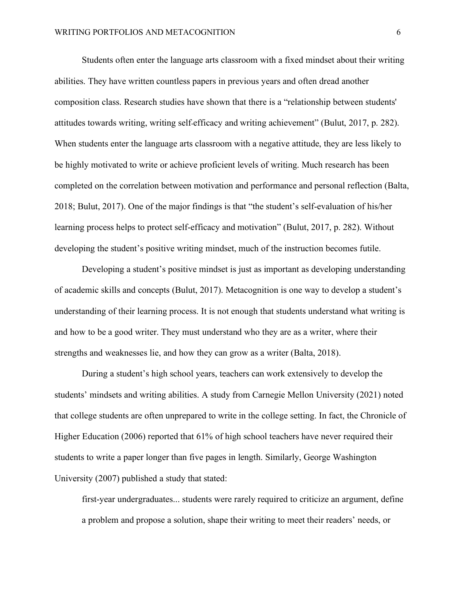<span id="page-7-0"></span>Students often enter the language arts classroom with a fixed mindset about their writing abilities. They have written countless papers in previous years and often dread another composition class. Research studies have shown that there is a "relationship between students' attitudes towards writing, writing self-efficacy and writing achievement" (Bulut, 2017, p. 282). When students enter the language arts classroom with a negative attitude, they are less likely to be highly motivated to write or achieve proficient levels of writing. Much research has been completed on the correlation between motivation and performance and personal reflection (Balta, 2018; Bulut, 2017). One of the major findings is that "the student's self-evaluation of his/her learning process helps to protect self-efficacy and motivation" (Bulut, 2017, p. 282). Without developing the student's positive writing mindset, much of the instruction becomes futile.

Developing a student's positive mindset is just as important as developing understanding of academic skills and concepts (Bulut, 2017). Metacognition is one way to develop a student's understanding of their learning process. It is not enough that students understand what writing is and how to be a good writer. They must understand who they are as a writer, where their strengths and weaknesses lie, and how they can grow as a writer (Balta, 2018).

During a student's high school years, teachers can work extensively to develop the students' mindsets and writing abilities. A study from Carnegie Mellon University (2021) noted that college students are often unprepared to write in the college setting. In fact, the Chronicle of Higher Education (2006) reported that 61% of high school teachers have never required their students to write a paper longer than five pages in length. Similarly, George Washington University (2007) published a study that stated:

first-year undergraduates... students were rarely required to criticize an argument, define a problem and propose a solution, shape their writing to meet their readers' needs, or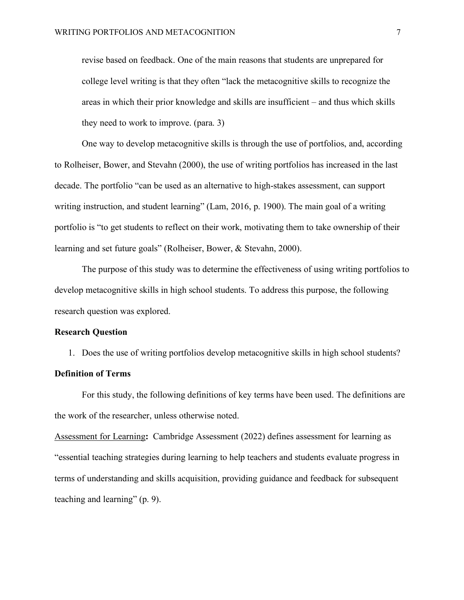revise based on feedback. One of the main reasons that students are unprepared for college level writing is that they often "lack the metacognitive skills to recognize the areas in which their prior knowledge and skills are insufficient – and thus which skills they need to work to improve. (para. 3)

One way to develop metacognitive skills is through the use of portfolios, and, according to Rolheiser, Bower, and Stevahn (2000), the use of writing portfolios has increased in the last decade. The portfolio "can be used as an alternative to high-stakes assessment, can support writing instruction, and student learning" (Lam, 2016, p. 1900). The main goal of a writing portfolio is "to get students to reflect on their work, motivating them to take ownership of their learning and set future goals" (Rolheiser, Bower, & Stevahn, 2000).

The purpose of this study was to determine the effectiveness of using writing portfolios to develop metacognitive skills in high school students. To address this purpose, the following research question was explored.

#### **Research Question**

1. Does the use of writing portfolios develop metacognitive skills in high school students? **Definition of Terms**

For this study, the following definitions of key terms have been used. The definitions are the work of the researcher, unless otherwise noted.

Assessment for Learning**:** Cambridge Assessment (2022) defines assessment for learning as "essential teaching strategies during learning to help teachers and students evaluate progress in terms of understanding and skills acquisition, providing guidance and feedback for subsequent teaching and learning" (p. 9).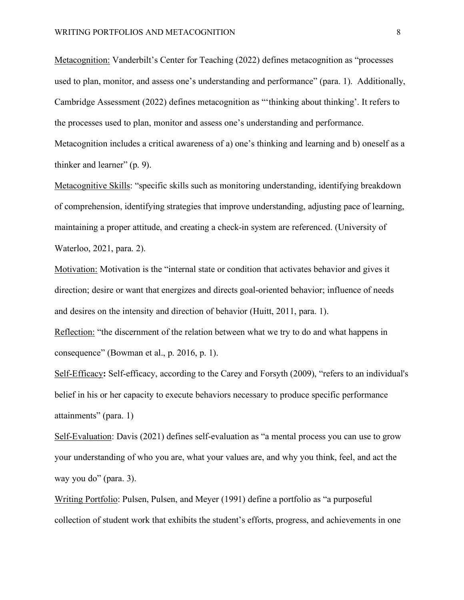Metacognition: Vanderbilt's Center for Teaching (2022) defines metacognition as "processes used to plan, monitor, and assess one's understanding and performance" (para. 1). Additionally, Cambridge Assessment (2022) defines metacognition as "'thinking about thinking'. It refers to the processes used to plan, monitor and assess one's understanding and performance. Metacognition includes a critical awareness of a) one's thinking and learning and b) oneself as a thinker and learner" (p. 9).

Metacognitive Skills: "specific skills such as monitoring understanding, identifying breakdown of comprehension, identifying strategies that improve understanding, adjusting pace of learning, maintaining a proper attitude, and creating a check-in system are referenced. (University of Waterloo, 2021, para. 2).

Motivation: Motivation is the "internal state or condition that activates behavior and gives it direction; desire or want that energizes and directs goal-oriented behavior; influence of needs and desires on the intensity and direction of behavior (Huitt, 2011, para. 1).

Reflection: "the discernment of the relation between what we try to do and what happens in consequence" (Bowman et al., p. 2016, p. 1).

Self-Efficacy**:** Self-efficacy, according to the Carey and Forsyth (2009), "refers to an individual's belief in his or her capacity to execute behaviors necessary to produce specific performance attainments" (para. 1)

Self-Evaluation: Davis (2021) defines self-evaluation as "a mental process you can use to grow your understanding of who you are, what your values are, and why you think, feel, and act the way you do" (para. 3).

Writing Portfolio: Pulsen, Pulsen, and Meyer (1991) define a portfolio as "a purposeful collection of student work that exhibits the student's efforts, progress, and achievements in one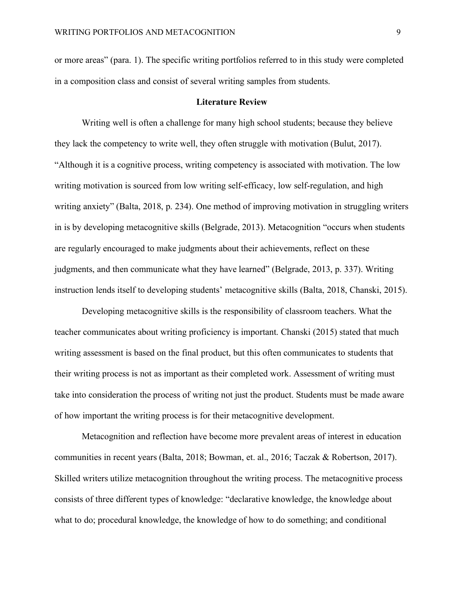or more areas" (para. 1). The specific writing portfolios referred to in this study were completed in a composition class and consist of several writing samples from students.

#### **Literature Review**

<span id="page-10-0"></span>Writing well is often a challenge for many high school students; because they believe they lack the competency to write well, they often struggle with motivation (Bulut, 2017). "Although it is a cognitive process, writing competency is associated with motivation. The low writing motivation is sourced from low writing self-efficacy, low self-regulation, and high writing anxiety" (Balta, 2018, p. 234). One method of improving motivation in struggling writers in is by developing metacognitive skills (Belgrade, 2013). Metacognition "occurs when students are regularly encouraged to make judgments about their achievements, reflect on these judgments, and then communicate what they have learned" (Belgrade, 2013, p. 337). Writing instruction lends itself to developing students' metacognitive skills (Balta, 2018, Chanski, 2015).

Developing metacognitive skills is the responsibility of classroom teachers. What the teacher communicates about writing proficiency is important. Chanski (2015) stated that much writing assessment is based on the final product, but this often communicates to students that their writing process is not as important as their completed work. Assessment of writing must take into consideration the process of writing not just the product. Students must be made aware of how important the writing process is for their metacognitive development.

Metacognition and reflection have become more prevalent areas of interest in education communities in recent years (Balta, 2018; Bowman, et. al., 2016; Taczak & Robertson, 2017). Skilled writers utilize metacognition throughout the writing process. The metacognitive process consists of three different types of knowledge: "declarative knowledge, the knowledge about what to do; procedural knowledge, the knowledge of how to do something; and conditional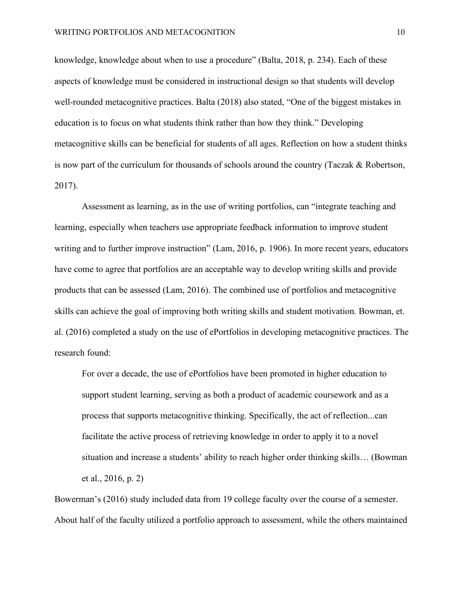knowledge, knowledge about when to use a procedure" (Balta, 2018, p. 234). Each of these aspects of knowledge must be considered in instructional design so that students will develop well-rounded metacognitive practices. Balta (2018) also stated, "One of the biggest mistakes in education is to focus on what students think rather than how they think." Developing metacognitive skills can be beneficial for students of all ages. Reflection on how a student thinks is now part of the curriculum for thousands of schools around the country (Taczak & Robertson, 2017).

Assessment as learning, as in the use of writing portfolios, can "integrate teaching and learning, especially when teachers use appropriate feedback information to improve student writing and to further improve instruction" (Lam, 2016, p. 1906). In more recent years, educators have come to agree that portfolios are an acceptable way to develop writing skills and provide products that can be assessed (Lam, 2016). The combined use of portfolios and metacognitive skills can achieve the goal of improving both writing skills and student motivation. Bowman, et. al. (2016) completed a study on the use of ePortfolios in developing metacognitive practices. The research found:

For over a decade, the use of ePortfolios have been promoted in higher education to support student learning, serving as both a product of academic coursework and as a process that supports metacognitive thinking. Specifically, the act of reflection...can facilitate the active process of retrieving knowledge in order to apply it to a novel situation and increase a students' ability to reach higher order thinking skills… (Bowman et al., 2016, p. 2)

Bowerman's (2016) study included data from 19 college faculty over the course of a semester. About half of the faculty utilized a portfolio approach to assessment, while the others maintained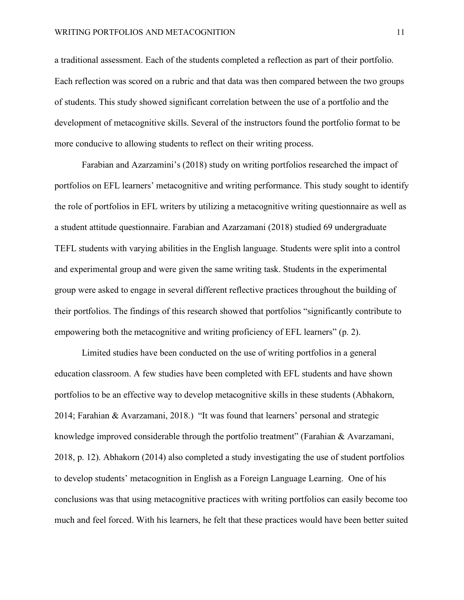a traditional assessment. Each of the students completed a reflection as part of their portfolio. Each reflection was scored on a rubric and that data was then compared between the two groups of students. This study showed significant correlation between the use of a portfolio and the development of metacognitive skills. Several of the instructors found the portfolio format to be more conducive to allowing students to reflect on their writing process.

Farabian and Azarzamini's (2018) study on writing portfolios researched the impact of portfolios on EFL learners' metacognitive and writing performance. This study sought to identify the role of portfolios in EFL writers by utilizing a metacognitive writing questionnaire as well as a student attitude questionnaire. Farabian and Azarzamani (2018) studied 69 undergraduate TEFL students with varying abilities in the English language. Students were split into a control and experimental group and were given the same writing task. Students in the experimental group were asked to engage in several different reflective practices throughout the building of their portfolios. The findings of this research showed that portfolios "significantly contribute to empowering both the metacognitive and writing proficiency of EFL learners" (p. 2).

Limited studies have been conducted on the use of writing portfolios in a general education classroom. A few studies have been completed with EFL students and have shown portfolios to be an effective way to develop metacognitive skills in these students (Abhakorn, 2014; Farahian & Avarzamani, 2018.) "It was found that learners' personal and strategic knowledge improved considerable through the portfolio treatment" (Farahian & Avarzamani, 2018, p. 12). Abhakorn (2014) also completed a study investigating the use of student portfolios to develop students' metacognition in English as a Foreign Language Learning. One of his conclusions was that using metacognitive practices with writing portfolios can easily become too much and feel forced. With his learners, he felt that these practices would have been better suited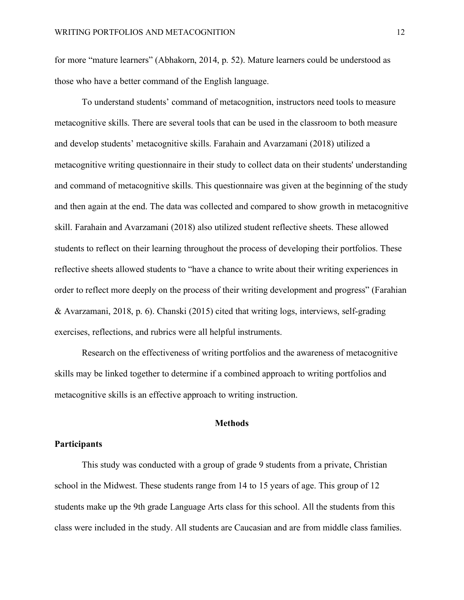for more "mature learners" (Abhakorn, 2014, p. 52). Mature learners could be understood as those who have a better command of the English language.

To understand students' command of metacognition, instructors need tools to measure metacognitive skills. There are several tools that can be used in the classroom to both measure and develop students' metacognitive skills. Farahain and Avarzamani (2018) utilized a metacognitive writing questionnaire in their study to collect data on their students' understanding and command of metacognitive skills. This questionnaire was given at the beginning of the study and then again at the end. The data was collected and compared to show growth in metacognitive skill. Farahain and Avarzamani (2018) also utilized student reflective sheets. These allowed students to reflect on their learning throughout the process of developing their portfolios. These reflective sheets allowed students to "have a chance to write about their writing experiences in order to reflect more deeply on the process of their writing development and progress" (Farahian & Avarzamani, 2018, p. 6). Chanski (2015) cited that writing logs, interviews, self-grading exercises, reflections, and rubrics were all helpful instruments.

Research on the effectiveness of writing portfolios and the awareness of metacognitive skills may be linked together to determine if a combined approach to writing portfolios and metacognitive skills is an effective approach to writing instruction.

## **Methods**

## <span id="page-13-0"></span>**Participants**

This study was conducted with a group of grade 9 students from a private, Christian school in the Midwest. These students range from 14 to 15 years of age. This group of 12 students make up the 9th grade Language Arts class for this school. All the students from this class were included in the study. All students are Caucasian and are from middle class families.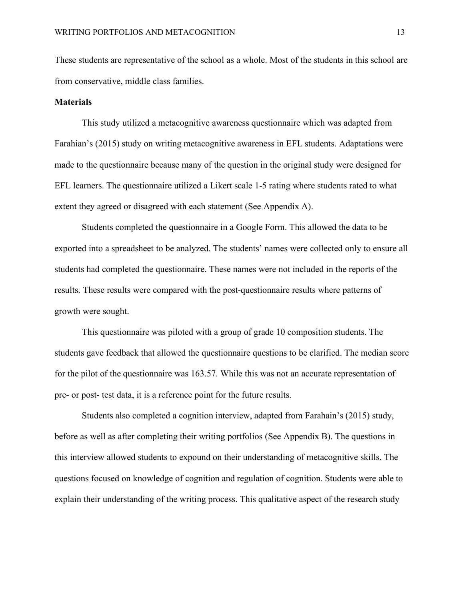These students are representative of the school as a whole. Most of the students in this school are from conservative, middle class families.

#### **Materials**

This study utilized a metacognitive awareness questionnaire which was adapted from Farahian's (2015) study on writing metacognitive awareness in EFL students. Adaptations were made to the questionnaire because many of the question in the original study were designed for EFL learners. The questionnaire utilized a Likert scale 1-5 rating where students rated to what extent they agreed or disagreed with each statement (See Appendix A).

Students completed the questionnaire in a Google Form. This allowed the data to be exported into a spreadsheet to be analyzed. The students' names were collected only to ensure all students had completed the questionnaire. These names were not included in the reports of the results. These results were compared with the post-questionnaire results where patterns of growth were sought.

This questionnaire was piloted with a group of grade 10 composition students. The students gave feedback that allowed the questionnaire questions to be clarified. The median score for the pilot of the questionnaire was 163.57. While this was not an accurate representation of pre- or post- test data, it is a reference point for the future results.

Students also completed a cognition interview, adapted from Farahain's (2015) study, before as well as after completing their writing portfolios (See Appendix B). The questions in this interview allowed students to expound on their understanding of metacognitive skills. The questions focused on knowledge of cognition and regulation of cognition. Students were able to explain their understanding of the writing process. This qualitative aspect of the research study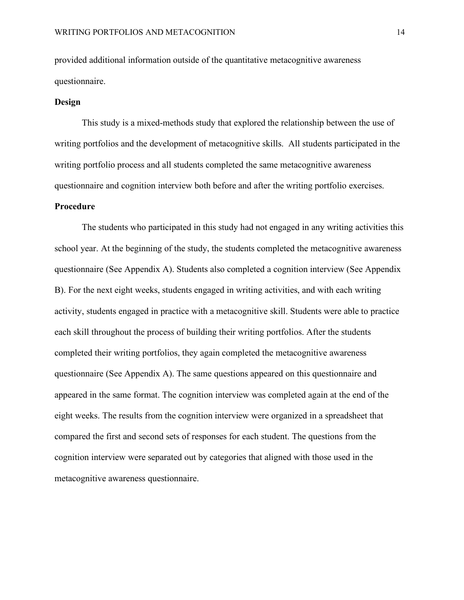provided additional information outside of the quantitative metacognitive awareness questionnaire.

### **Design**

This study is a mixed-methods study that explored the relationship between the use of writing portfolios and the development of metacognitive skills. All students participated in the writing portfolio process and all students completed the same metacognitive awareness questionnaire and cognition interview both before and after the writing portfolio exercises.

#### **Procedure**

The students who participated in this study had not engaged in any writing activities this school year. At the beginning of the study, the students completed the metacognitive awareness questionnaire (See Appendix A). Students also completed a cognition interview (See Appendix B). For the next eight weeks, students engaged in writing activities, and with each writing activity, students engaged in practice with a metacognitive skill. Students were able to practice each skill throughout the process of building their writing portfolios. After the students completed their writing portfolios, they again completed the metacognitive awareness questionnaire (See Appendix A). The same questions appeared on this questionnaire and appeared in the same format. The cognition interview was completed again at the end of the eight weeks. The results from the cognition interview were organized in a spreadsheet that compared the first and second sets of responses for each student. The questions from the cognition interview were separated out by categories that aligned with those used in the metacognitive awareness questionnaire.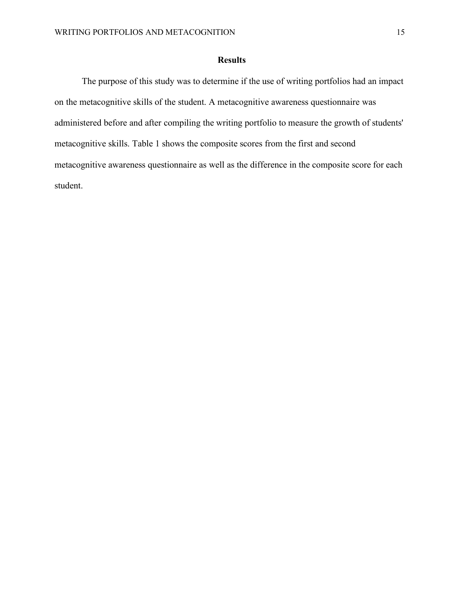# **Results**

<span id="page-16-0"></span>The purpose of this study was to determine if the use of writing portfolios had an impact on the metacognitive skills of the student. A metacognitive awareness questionnaire was administered before and after compiling the writing portfolio to measure the growth of students' metacognitive skills. Table 1 shows the composite scores from the first and second metacognitive awareness questionnaire as well as the difference in the composite score for each student.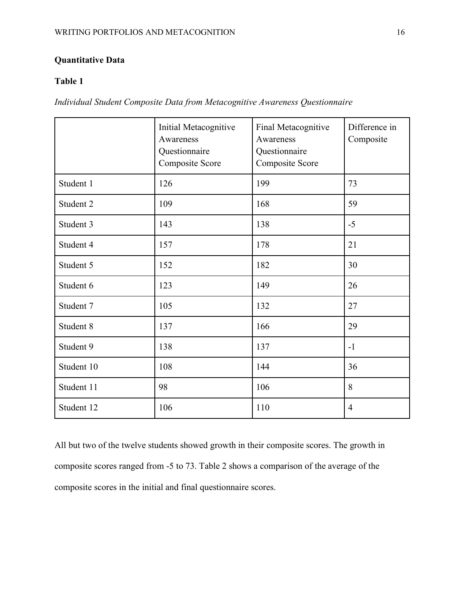# **Quantitative Data**

# **Table 1**

*Individual Student Composite Data from Metacognitive Awareness Questionnaire*

|            | Initial Metacognitive<br>Awareness<br>Questionnaire<br><b>Composite Score</b> | Final Metacognitive<br>Awareness<br>Questionnaire<br>Composite Score | Difference in<br>Composite |
|------------|-------------------------------------------------------------------------------|----------------------------------------------------------------------|----------------------------|
| Student 1  | 126                                                                           | 199                                                                  | 73                         |
| Student 2  | 109                                                                           | 168                                                                  | 59                         |
| Student 3  | 143                                                                           | 138                                                                  | $-5$                       |
| Student 4  | 157                                                                           | 178                                                                  | 21                         |
| Student 5  | 152                                                                           | 182                                                                  | 30                         |
| Student 6  | 123                                                                           | 149                                                                  | 26                         |
| Student 7  | 105                                                                           | 132                                                                  | 27                         |
| Student 8  | 137                                                                           | 166                                                                  | 29                         |
| Student 9  | 138                                                                           | 137                                                                  | $-1$                       |
| Student 10 | 108                                                                           | 144                                                                  | 36                         |
| Student 11 | 98                                                                            | 106                                                                  | 8                          |
| Student 12 | 106                                                                           | 110                                                                  | $\overline{4}$             |

All but two of the twelve students showed growth in their composite scores. The growth in composite scores ranged from -5 to 73. Table 2 shows a comparison of the average of the composite scores in the initial and final questionnaire scores.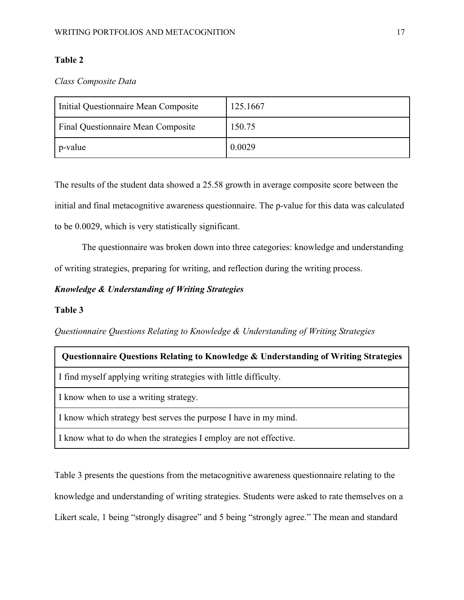# **Table 2**

*Class Composite Data*

| Initial Questionnaire Mean Composite | 125.1667 |
|--------------------------------------|----------|
| Final Questionnaire Mean Composite   | 150.75   |
| p-value                              | 0.0029   |

The results of the student data showed a 25.58 growth in average composite score between the initial and final metacognitive awareness questionnaire. The p-value for this data was calculated to be 0.0029, which is very statistically significant.

The questionnaire was broken down into three categories: knowledge and understanding of writing strategies, preparing for writing, and reflection during the writing process.

# *Knowledge & Understanding of Writing Strategies*

## **Table 3**

*Questionnaire Questions Relating to Knowledge & Understanding of Writing Strategies*

# **Questionnaire Questions Relating to Knowledge & Understanding of Writing Strategies**

I find myself applying writing strategies with little difficulty.

I know when to use a writing strategy.

I know which strategy best serves the purpose I have in my mind.

I know what to do when the strategies I employ are not effective.

Table 3 presents the questions from the metacognitive awareness questionnaire relating to the knowledge and understanding of writing strategies. Students were asked to rate themselves on a Likert scale, 1 being "strongly disagree" and 5 being "strongly agree." The mean and standard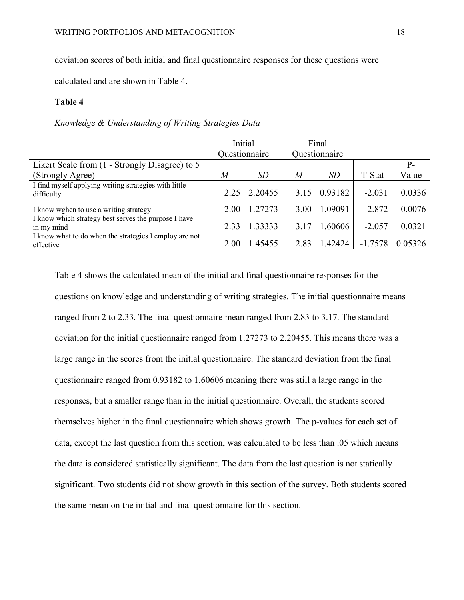# deviation scores of both initial and final questionnaire responses for these questions were

calculated and are shown in Table 4.

### **Table 4**

## *Knowledge & Understanding of Writing Strategies Data*

|                                                                      | Initial |               |                  | Final         |           |         |
|----------------------------------------------------------------------|---------|---------------|------------------|---------------|-----------|---------|
|                                                                      |         | Questionnaire |                  | Questionnaire |           |         |
| Likert Scale from (1 - Strongly Disagree) to 5                       |         |               |                  |               |           | P-      |
| (Strongly Agree)                                                     | M       | <i>SD</i>     | $\boldsymbol{M}$ | <i>SD</i>     | T-Stat    | Value   |
| I find myself applying writing strategies with little<br>difficulty. |         | 2.25 2.20455  | 3.15             | 0.93182       | $-2.031$  | 0.0336  |
| I know wghen to use a writing strategy                               | 2.00    | 1.27273       | 3.00             | 1.09091       | $-2.872$  | 0.0076  |
| I know which strategy best serves the purpose I have<br>in my mind   | 2.33    | 1.33333       | 3.17             | 1.60606       | $-2.057$  | 0.0321  |
| I know what to do when the strategies I employ are not<br>effective  | 2.00    | 1.45455       | 2.83             | 1.42424       | $-1.7578$ | 0.05326 |

Table 4 shows the calculated mean of the initial and final questionnaire responses for the questions on knowledge and understanding of writing strategies. The initial questionnaire means ranged from 2 to 2.33. The final questionnaire mean ranged from 2.83 to 3.17. The standard deviation for the initial questionnaire ranged from 1.27273 to 2.20455. This means there was a large range in the scores from the initial questionnaire. The standard deviation from the final questionnaire ranged from 0.93182 to 1.60606 meaning there was still a large range in the responses, but a smaller range than in the initial questionnaire. Overall, the students scored themselves higher in the final questionnaire which shows growth. The p-values for each set of data, except the last question from this section, was calculated to be less than .05 which means the data is considered statistically significant. The data from the last question is not statically significant. Two students did not show growth in this section of the survey. Both students scored the same mean on the initial and final questionnaire for this section.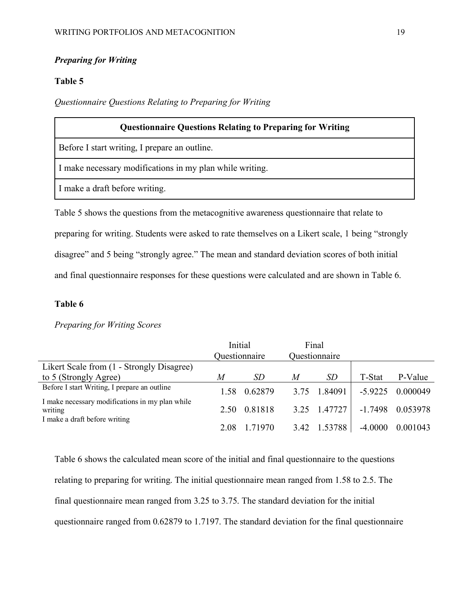# *Preparing for Writing*

# **Table 5**

## *Questionnaire Questions Relating to Preparing for Writing*

| <b>Questionnaire Questions Relating to Preparing for Writing</b>                          |  |  |  |  |
|-------------------------------------------------------------------------------------------|--|--|--|--|
| Before I start writing, I prepare an outline.                                             |  |  |  |  |
| I make necessary modifications in my plan while writing.                                  |  |  |  |  |
| I make a draft before writing.                                                            |  |  |  |  |
| Table 5 shows the questions from the metacognitive awareness questionnaire that relate to |  |  |  |  |

Table 5 shows the questions from the metacognitive awareness questionnaire that relate to preparing for writing. Students were asked to rate themselves on a Likert scale, 1 being "strongly disagree" and 5 being "strongly agree." The mean and standard deviation scores of both initial and final questionnaire responses for these questions were calculated and are shown in Table 6.

# **Table 6**

# *Preparing for Writing Scores*

|                                                            | Initial |               |      | Final         |           |          |
|------------------------------------------------------------|---------|---------------|------|---------------|-----------|----------|
|                                                            |         | Questionnaire |      | Questionnaire |           |          |
| Likert Scale from (1 - Strongly Disagree)                  |         |               |      |               |           |          |
| to 5 (Strongly Agree)                                      | M       | <i>SD</i>     | M    | <i>SD</i>     | T-Stat    | P-Value  |
| Before I start Writing, I prepare an outline               | 1.58    | 0.62879       | 3.75 | 1.84091       | $-5.9225$ | 0.000049 |
| I make necessary modifications in my plan while<br>writing | 2.50    | 0.81818       | 3.25 | 1.47727       | $-1.7498$ | 0.053978 |
| I make a draft before writing                              | 2.08    | 1.71970       | 3.42 | 1.53788       | $-4.0000$ | 0.001043 |

Table 6 shows the calculated mean score of the initial and final questionnaire to the questions relating to preparing for writing. The initial questionnaire mean ranged from 1.58 to 2.5. The final questionnaire mean ranged from 3.25 to 3.75. The standard deviation for the initial questionnaire ranged from 0.62879 to 1.7197. The standard deviation for the final questionnaire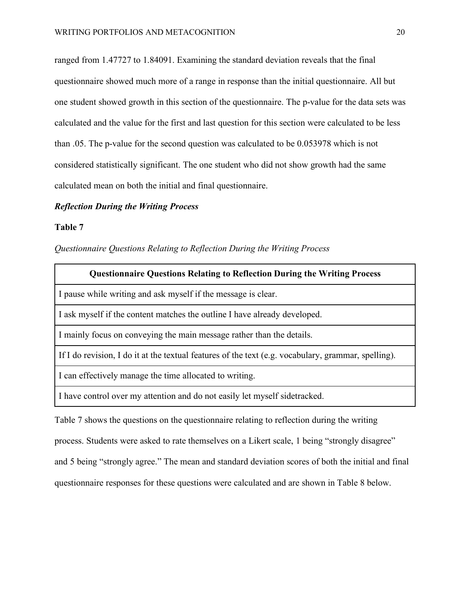ranged from 1.47727 to 1.84091. Examining the standard deviation reveals that the final questionnaire showed much more of a range in response than the initial questionnaire. All but one student showed growth in this section of the questionnaire. The p-value for the data sets was calculated and the value for the first and last question for this section were calculated to be less than .05. The p-value for the second question was calculated to be 0.053978 which is not considered statistically significant. The one student who did not show growth had the same calculated mean on both the initial and final questionnaire.

# *Reflection During the Writing Process*

#### **Table 7**

*Questionnaire Questions Relating to Reflection During the Writing Process*

| <b>Questionnaire Questions Relating to Reflection During the Writing Process</b>                    |
|-----------------------------------------------------------------------------------------------------|
| I pause while writing and ask myself if the message is clear.                                       |
| I ask myself if the content matches the outline I have already developed.                           |
| I mainly focus on conveying the main message rather than the details.                               |
| If I do revision, I do it at the textual features of the text (e.g. vocabulary, grammar, spelling). |
| I can effectively manage the time allocated to writing.                                             |
| I have control over my attention and do not easily let myself sidetracked.                          |

Table 7 shows the questions on the questionnaire relating to reflection during the writing process. Students were asked to rate themselves on a Likert scale, 1 being "strongly disagree" and 5 being "strongly agree." The mean and standard deviation scores of both the initial and final questionnaire responses for these questions were calculated and are shown in Table 8 below.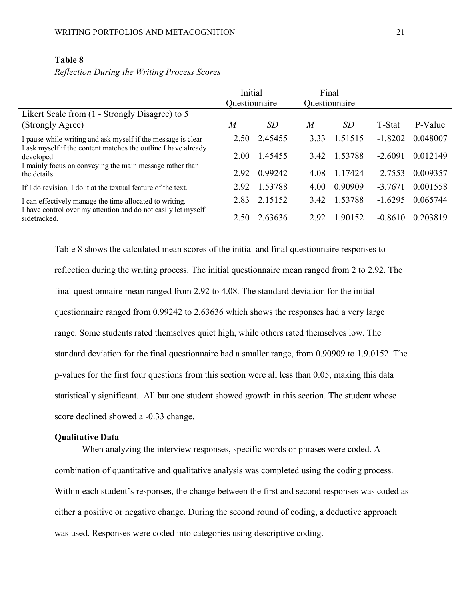# **Table 8**

*Reflection During the Writing Process Scores*

|                                                                                                                                | Initial<br>Questionnaire |         | Final | Questionnaire |           |          |
|--------------------------------------------------------------------------------------------------------------------------------|--------------------------|---------|-------|---------------|-----------|----------|
| Likert Scale from (1 - Strongly Disagree) to 5                                                                                 |                          |         |       |               |           |          |
| (Strongly Agree)                                                                                                               | M                        | SD      | M     | SD            | T-Stat    | P-Value  |
| I pause while writing and ask myself if the message is clear<br>I ask myself if the content matches the outline I have already | 2.50                     | 2.45455 | 3.33  | 1.51515       | $-1.8202$ | 0.048007 |
| developed<br>I mainly focus on conveying the main message rather than<br>the details                                           | 2.00                     | 1.45455 | 3.42  | 1.53788       | $-2.6091$ | 0.012149 |
|                                                                                                                                | 2.92                     | 0.99242 | 4.08  | 1.17424       | $-2.7553$ | 0.009357 |
| If I do revision, I do it at the textual feature of the text.                                                                  | 2.92                     | 1.53788 | 4.00  | 0.90909       | $-3.7671$ | 0.001558 |
| I can effectively manage the time allocated to writing.                                                                        | 2.83                     | 2.15152 | 3.42  | 1.53788       | $-1.6295$ | 0.065744 |
| I have control over my attention and do not easily let myself<br>sidetracked.                                                  |                          | 2.63636 | 2.92  | 1.90152       | $-0.8610$ | 0.203819 |

Table 8 shows the calculated mean scores of the initial and final questionnaire responses to reflection during the writing process. The initial questionnaire mean ranged from 2 to 2.92. The final questionnaire mean ranged from 2.92 to 4.08. The standard deviation for the initial questionnaire ranged from 0.99242 to 2.63636 which shows the responses had a very large range. Some students rated themselves quiet high, while others rated themselves low. The standard deviation for the final questionnaire had a smaller range, from 0.90909 to 1.9.0152. The p-values for the first four questions from this section were all less than 0.05, making this data statistically significant. All but one student showed growth in this section. The student whose score declined showed a -0.33 change.

#### **Qualitative Data**

When analyzing the interview responses, specific words or phrases were coded. A combination of quantitative and qualitative analysis was completed using the coding process. Within each student's responses, the change between the first and second responses was coded as either a positive or negative change. During the second round of coding, a deductive approach was used. Responses were coded into categories using descriptive coding.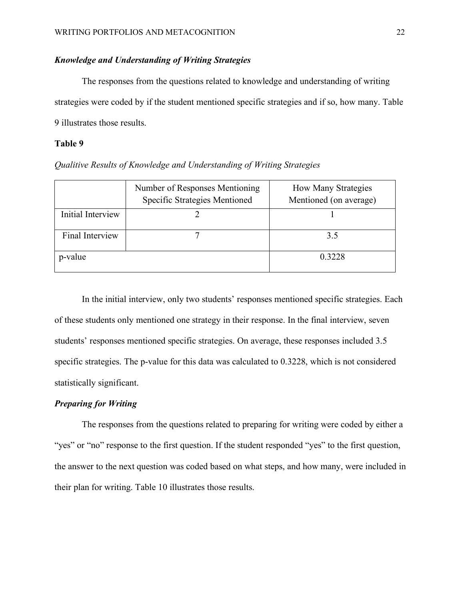# *Knowledge and Understanding of Writing Strategies*

The responses from the questions related to knowledge and understanding of writing strategies were coded by if the student mentioned specific strategies and if so, how many. Table 9 illustrates those results.

# **Table 9**

*Qualitive Results of Knowledge and Understanding of Writing Strategies*

|                   | Number of Responses Mentioning<br>Specific Strategies Mentioned | <b>How Many Strategies</b><br>Mentioned (on average) |
|-------------------|-----------------------------------------------------------------|------------------------------------------------------|
| Initial Interview |                                                                 |                                                      |
| Final Interview   |                                                                 | 3.5                                                  |
| p-value           |                                                                 | 0.3228                                               |

In the initial interview, only two students' responses mentioned specific strategies. Each of these students only mentioned one strategy in their response. In the final interview, seven students' responses mentioned specific strategies. On average, these responses included 3.5 specific strategies. The p-value for this data was calculated to 0.3228, which is not considered statistically significant.

# *Preparing for Writing*

The responses from the questions related to preparing for writing were coded by either a "yes" or "no" response to the first question. If the student responded "yes" to the first question, the answer to the next question was coded based on what steps, and how many, were included in their plan for writing. Table 10 illustrates those results.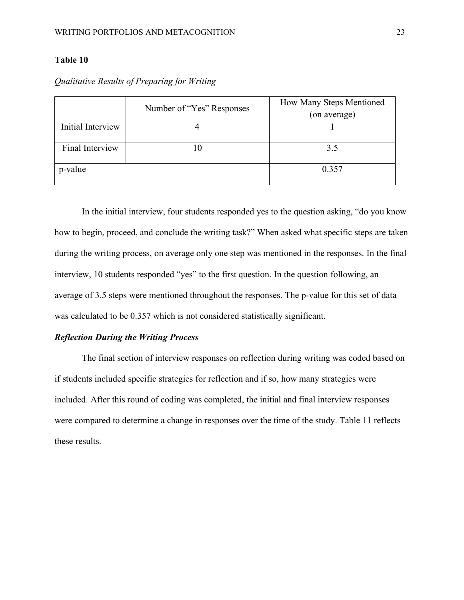# **Table 10**

|                   | Number of "Yes" Responses | How Many Steps Mentioned<br>(on average) |
|-------------------|---------------------------|------------------------------------------|
| Initial Interview |                           |                                          |
| Final Interview   |                           | 3.5                                      |
| p-value           |                           | 0.357                                    |

*Qualitative Results of Preparing for Writing*

In the initial interview, four students responded yes to the question asking, "do you know how to begin, proceed, and conclude the writing task?" When asked what specific steps are taken during the writing process, on average only one step was mentioned in the responses. In the final interview, 10 students responded "yes" to the first question. In the question following, an average of 3.5 steps were mentioned throughout the responses. The p-value for this set of data was calculated to be 0.357 which is not considered statistically significant.

### *Reflection During the Writing Process*

The final section of interview responses on reflection during writing was coded based on if students included specific strategies for reflection and if so, how many strategies were included. After this round of coding was completed, the initial and final interview responses were compared to determine a change in responses over the time of the study. Table 11 reflects these results.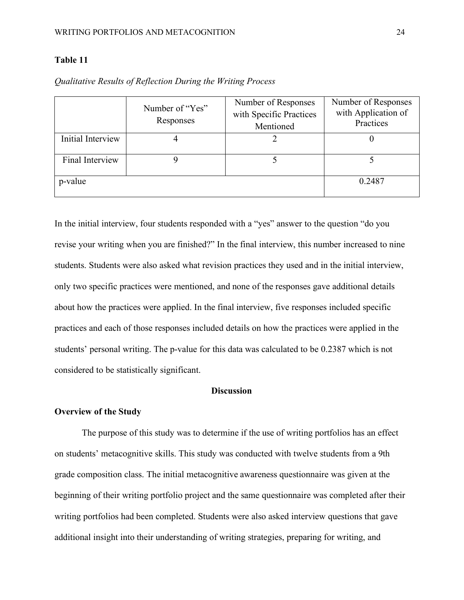## **Table 11**

|                   | Number of "Yes"<br>Responses | Number of Responses<br>with Specific Practices<br>Mentioned | Number of Responses<br>with Application of<br>Practices |
|-------------------|------------------------------|-------------------------------------------------------------|---------------------------------------------------------|
| Initial Interview |                              |                                                             |                                                         |
| Final Interview   |                              |                                                             |                                                         |
| p-value           | 0.2487                       |                                                             |                                                         |

*Qualitative Results of Reflection During the Writing Process*

In the initial interview, four students responded with a "yes" answer to the question "do you revise your writing when you are finished?" In the final interview, this number increased to nine students. Students were also asked what revision practices they used and in the initial interview, only two specific practices were mentioned, and none of the responses gave additional details about how the practices were applied. In the final interview, five responses included specific practices and each of those responses included details on how the practices were applied in the students' personal writing. The p-value for this data was calculated to be 0.2387 which is not considered to be statistically significant.

#### **Discussion**

#### **Overview of the Study**

The purpose of this study was to determine if the use of writing portfolios has an effect on students' metacognitive skills. This study was conducted with twelve students from a 9th grade composition class. The initial metacognitive awareness questionnaire was given at the beginning of their writing portfolio project and the same questionnaire was completed after their writing portfolios had been completed. Students were also asked interview questions that gave additional insight into their understanding of writing strategies, preparing for writing, and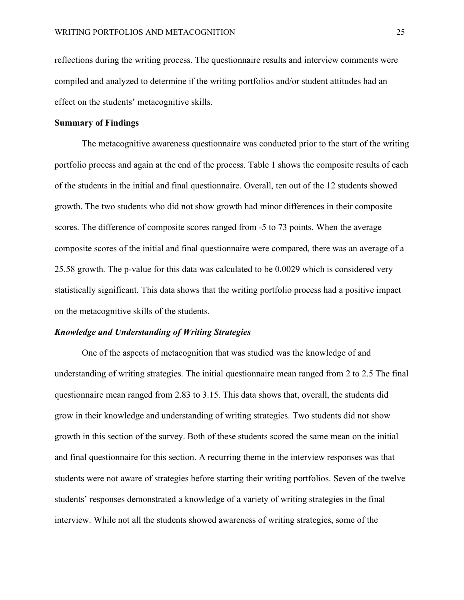reflections during the writing process. The questionnaire results and interview comments were compiled and analyzed to determine if the writing portfolios and/or student attitudes had an effect on the students' metacognitive skills.

#### **Summary of Findings**

The metacognitive awareness questionnaire was conducted prior to the start of the writing portfolio process and again at the end of the process. Table 1 shows the composite results of each of the students in the initial and final questionnaire. Overall, ten out of the 12 students showed growth. The two students who did not show growth had minor differences in their composite scores. The difference of composite scores ranged from -5 to 73 points. When the average composite scores of the initial and final questionnaire were compared, there was an average of a 25.58 growth. The p-value for this data was calculated to be 0.0029 which is considered very statistically significant. This data shows that the writing portfolio process had a positive impact on the metacognitive skills of the students.

#### *Knowledge and Understanding of Writing Strategies*

One of the aspects of metacognition that was studied was the knowledge of and understanding of writing strategies. The initial questionnaire mean ranged from 2 to 2.5 The final questionnaire mean ranged from 2.83 to 3.15. This data shows that, overall, the students did grow in their knowledge and understanding of writing strategies. Two students did not show growth in this section of the survey. Both of these students scored the same mean on the initial and final questionnaire for this section. A recurring theme in the interview responses was that students were not aware of strategies before starting their writing portfolios. Seven of the twelve students' responses demonstrated a knowledge of a variety of writing strategies in the final interview. While not all the students showed awareness of writing strategies, some of the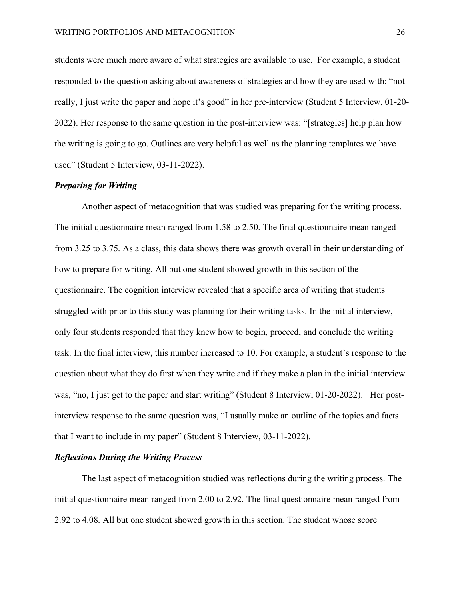students were much more aware of what strategies are available to use. For example, a student responded to the question asking about awareness of strategies and how they are used with: "not really, I just write the paper and hope it's good" in her pre-interview (Student 5 Interview, 01-20- 2022). Her response to the same question in the post-interview was: "[strategies] help plan how the writing is going to go. Outlines are very helpful as well as the planning templates we have used" (Student 5 Interview, 03-11-2022).

## *Preparing for Writing*

Another aspect of metacognition that was studied was preparing for the writing process. The initial questionnaire mean ranged from 1.58 to 2.50. The final questionnaire mean ranged from 3.25 to 3.75. As a class, this data shows there was growth overall in their understanding of how to prepare for writing. All but one student showed growth in this section of the questionnaire. The cognition interview revealed that a specific area of writing that students struggled with prior to this study was planning for their writing tasks. In the initial interview, only four students responded that they knew how to begin, proceed, and conclude the writing task. In the final interview, this number increased to 10. For example, a student's response to the question about what they do first when they write and if they make a plan in the initial interview was, "no, I just get to the paper and start writing" (Student 8 Interview, 01-20-2022). Her postinterview response to the same question was, "I usually make an outline of the topics and facts that I want to include in my paper" (Student 8 Interview, 03-11-2022).

#### *Reflections During the Writing Process*

The last aspect of metacognition studied was reflections during the writing process. The initial questionnaire mean ranged from 2.00 to 2.92. The final questionnaire mean ranged from 2.92 to 4.08. All but one student showed growth in this section. The student whose score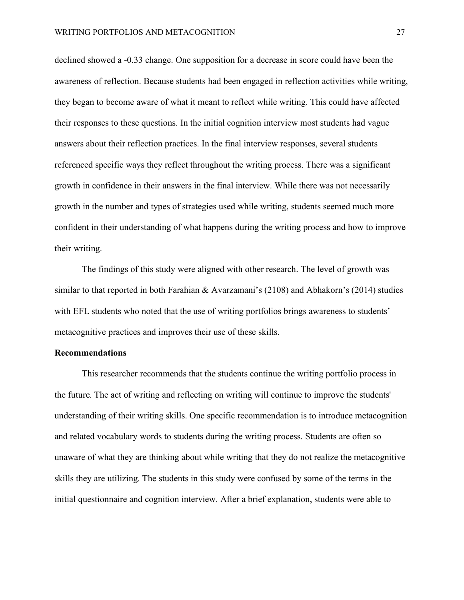declined showed a -0.33 change. One supposition for a decrease in score could have been the awareness of reflection. Because students had been engaged in reflection activities while writing, they began to become aware of what it meant to reflect while writing. This could have affected their responses to these questions. In the initial cognition interview most students had vague answers about their reflection practices. In the final interview responses, several students referenced specific ways they reflect throughout the writing process. There was a significant growth in confidence in their answers in the final interview. While there was not necessarily growth in the number and types of strategies used while writing, students seemed much more confident in their understanding of what happens during the writing process and how to improve their writing.

The findings of this study were aligned with other research. The level of growth was similar to that reported in both Farahian & Avarzamani's (2108) and Abhakorn's (2014) studies with EFL students who noted that the use of writing portfolios brings awareness to students' metacognitive practices and improves their use of these skills.

#### **Recommendations**

This researcher recommends that the students continue the writing portfolio process in the future. The act of writing and reflecting on writing will continue to improve the students' understanding of their writing skills. One specific recommendation is to introduce metacognition and related vocabulary words to students during the writing process. Students are often so unaware of what they are thinking about while writing that they do not realize the metacognitive skills they are utilizing. The students in this study were confused by some of the terms in the initial questionnaire and cognition interview. After a brief explanation, students were able to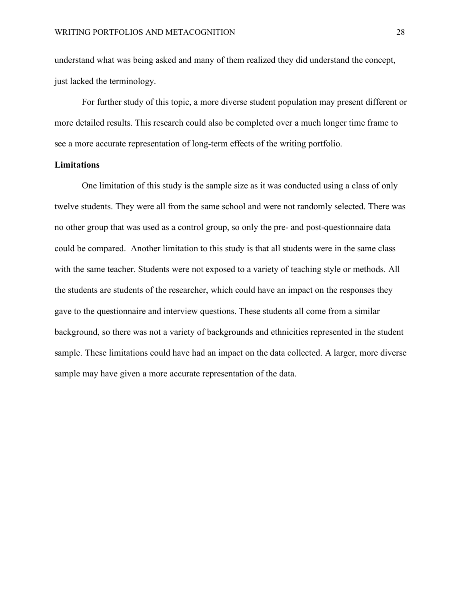understand what was being asked and many of them realized they did understand the concept, just lacked the terminology.

For further study of this topic, a more diverse student population may present different or more detailed results. This research could also be completed over a much longer time frame to see a more accurate representation of long-term effects of the writing portfolio.

### **Limitations**

<span id="page-29-0"></span>One limitation of this study is the sample size as it was conducted using a class of only twelve students. They were all from the same school and were not randomly selected. There was no other group that was used as a control group, so only the pre- and post-questionnaire data could be compared. Another limitation to this study is that all students were in the same class with the same teacher. Students were not exposed to a variety of teaching style or methods. All the students are students of the researcher, which could have an impact on the responses they gave to the questionnaire and interview questions. These students all come from a similar background, so there was not a variety of backgrounds and ethnicities represented in the student sample. These limitations could have had an impact on the data collected. A larger, more diverse sample may have given a more accurate representation of the data.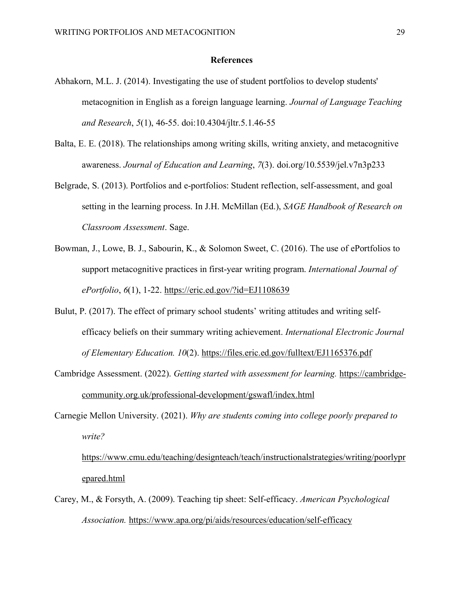#### **References**

- Abhakorn, M.L. J. (2014). Investigating the use of student portfolios to develop students' metacognition in English as a foreign language learning. *Journal of Language Teaching and Research*, *5*(1), 46-55. doi:10.4304/jltr.5.1.46-55
- Balta, E. E. (2018). The relationships among writing skills, writing anxiety, and metacognitive awareness. *Journal of Education and Learning*, *7*(3). doi.org/10.5539/jel.v7n3p233
- Belgrade, S. (2013). Portfolios and e-portfolios: Student reflection, self-assessment, and goal setting in the learning process. In J.H. McMillan (Ed.), *SAGE Handbook of Research on Classroom Assessment*. Sage.
- Bowman, J., Lowe, B. J., Sabourin, K., & Solomon Sweet, C. (2016). The use of ePortfolios to support metacognitive practices in first-year writing program. *International Journal of ePortfolio*, *6*(1), 1-22.<https://eric.ed.gov/?id=EJ1108639>
- Bulut, P. (2017). The effect of primary school students' writing attitudes and writing selfefficacy beliefs on their summary writing achievement. *International Electronic Journal of Elementary Education. 10*(2).<https://files.eric.ed.gov/fulltext/EJ1165376.pdf>
- Cambridge Assessment. (2022). *Getting started with assessment for learning.* [https://cambridge](https://cambridge-community.org.uk/professional-development/gswafl/index.html)[community.org.uk/professional-development/gswafl/index.html](https://cambridge-community.org.uk/professional-development/gswafl/index.html)
- Carnegie Mellon University. (2021). *Why are students coming into college poorly prepared to write?*

[https://www.cmu.edu/teaching/designteach/teach/instructionalstrategies/writing/poorlypr](https://www.cmu.edu/teaching/designteach/teach/instructionalstrategies/writing/poorlyprepared.html) [epared.html](https://www.cmu.edu/teaching/designteach/teach/instructionalstrategies/writing/poorlyprepared.html) 

Carey, M., & Forsyth, A. (2009). Teaching tip sheet: Self-efficacy. *American Psychological Association.* <https://www.apa.org/pi/aids/resources/education/self-efficacy>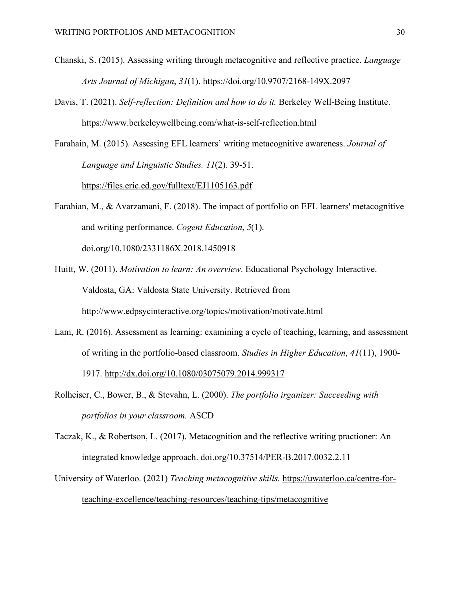- Chanski, S. (2015). Assessing writing through metacognitive and reflective practice. *Language Arts Journal of Michigan*, *31*(1).<https://doi.org/10.9707/2168-149X.2097>
- Davis, T. (2021). *Self-reflection: Definition and how to do it.* Berkeley Well-Being Institute. <https://www.berkeleywellbeing.com/what-is-self-reflection.html>

Farahain, M. (2015). Assessing EFL learners' writing metacognitive awareness. *Journal of Language and Linguistic Studies. 11*(2). 39-51. <https://files.eric.ed.gov/fulltext/EJ1105163.pdf>

- Farahian, M., & Avarzamani, F. (2018). The impact of portfolio on EFL learners' metacognitive and writing performance. *Cogent Education*, *5*(1). doi.org/10.1080/2331186X.2018.1450918
- Huitt, W. (2011). *Motivation to learn: An overview*. Educational Psychology Interactive. Valdosta, GA: Valdosta State University. Retrieved from http://www.edpsycinteractive.org/topics/motivation/motivate.html
- Lam, R. (2016). Assessment as learning: examining a cycle of teaching, learning, and assessment of writing in the portfolio-based classroom. *Studies in Higher Education*, *41*(11), 1900- 1917.<http://dx.doi.org/10.1080/03075079.2014.999317>
- Rolheiser, C., Bower, B., & Stevahn, L. (2000). *The portfolio irganizer: Succeeding with portfolios in your classroom.* ASCD
- Taczak, K., & Robertson, L. (2017). Metacognition and the reflective writing practioner: An integrated knowledge approach. doi.org/10.37514/PER-B.2017.0032.2.11
- University of Waterloo. (2021) *Teaching metacognitive skills.* [https://uwaterloo.ca/centre-for](https://uwaterloo.ca/centre-for-teaching-excellence/teaching-resources/teaching-tips/metacognitive)[teaching-excellence/teaching-resources/teaching-tips/metacognitive](https://uwaterloo.ca/centre-for-teaching-excellence/teaching-resources/teaching-tips/metacognitive)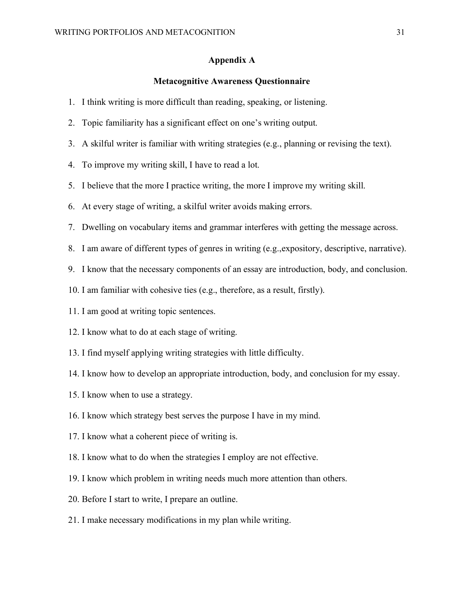#### **Appendix A**

#### **Metacognitive Awareness Questionnaire**

- <span id="page-32-0"></span>1. I think writing is more difficult than reading, speaking, or listening.
- 2. Topic familiarity has a significant effect on one's writing output.
- 3. A skilful writer is familiar with writing strategies (e.g., planning or revising the text).
- 4. To improve my writing skill, I have to read a lot.
- 5. I believe that the more I practice writing, the more I improve my writing skill.
- 6. At every stage of writing, a skilful writer avoids making errors.
- 7. Dwelling on vocabulary items and grammar interferes with getting the message across.
- 8. I am aware of different types of genres in writing (e.g.,expository, descriptive, narrative).
- 9. I know that the necessary components of an essay are introduction, body, and conclusion.
- 10. I am familiar with cohesive ties (e.g., therefore, as a result, firstly).
- 11. I am good at writing topic sentences.
- 12. I know what to do at each stage of writing.
- 13. I find myself applying writing strategies with little difficulty.
- 14. I know how to develop an appropriate introduction, body, and conclusion for my essay.
- 15. I know when to use a strategy.
- 16. I know which strategy best serves the purpose I have in my mind.
- 17. I know what a coherent piece of writing is.
- 18. I know what to do when the strategies I employ are not effective.
- 19. I know which problem in writing needs much more attention than others.
- 20. Before I start to write, I prepare an outline.
- 21. I make necessary modifications in my plan while writing.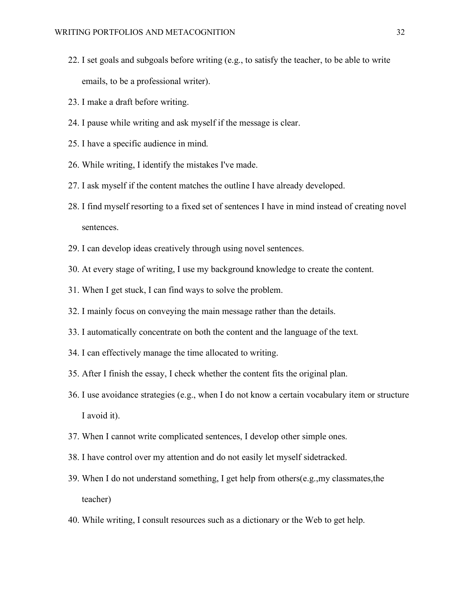- 22. I set goals and subgoals before writing (e.g., to satisfy the teacher, to be able to write emails, to be a professional writer).
- 23. I make a draft before writing.
- 24. I pause while writing and ask myself if the message is clear.
- 25. I have a specific audience in mind.
- 26. While writing, I identify the mistakes I've made.
- 27. I ask myself if the content matches the outline I have already developed.
- 28. I find myself resorting to a fixed set of sentences I have in mind instead of creating novel sentences.
- 29. I can develop ideas creatively through using novel sentences.
- 30. At every stage of writing, I use my background knowledge to create the content.
- 31. When I get stuck, I can find ways to solve the problem.
- 32. I mainly focus on conveying the main message rather than the details.
- 33. I automatically concentrate on both the content and the language of the text.
- 34. I can effectively manage the time allocated to writing.
- 35. After I finish the essay, I check whether the content fits the original plan.
- 36. I use avoidance strategies (e.g., when I do not know a certain vocabulary item or structure I avoid it).
- 37. When I cannot write complicated sentences, I develop other simple ones.
- 38. I have control over my attention and do not easily let myself sidetracked.
- 39. When I do not understand something, I get help from others(e.g.,my classmates,the teacher)
- 40. While writing, I consult resources such as a dictionary or the Web to get help.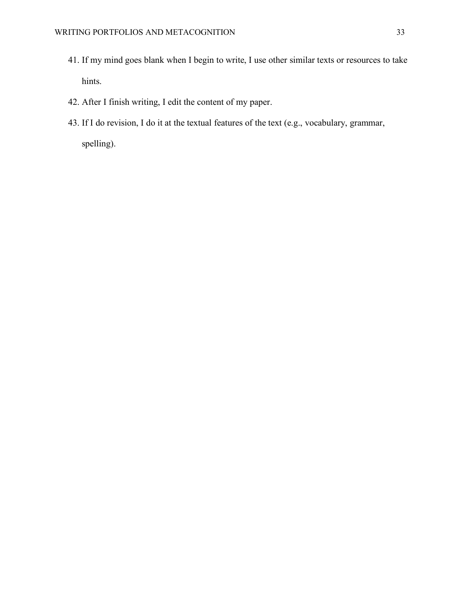- 41. If my mind goes blank when I begin to write, I use other similar texts or resources to take hints.
- 42. After I finish writing, I edit the content of my paper.
- 43. If I do revision, I do it at the textual features of the text (e.g., vocabulary, grammar, spelling).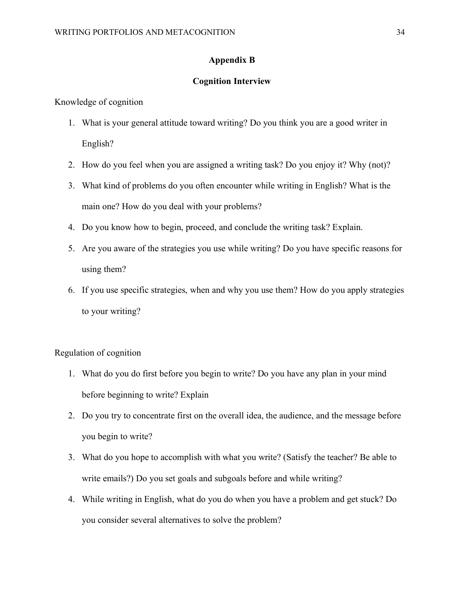# **Appendix B**

#### **Cognition Interview**

<span id="page-35-0"></span>Knowledge of cognition

- 1. What is your general attitude toward writing? Do you think you are a good writer in English?
- 2. How do you feel when you are assigned a writing task? Do you enjoy it? Why (not)?
- 3. What kind of problems do you often encounter while writing in English? What is the main one? How do you deal with your problems?
- 4. Do you know how to begin, proceed, and conclude the writing task? Explain.
- 5. Are you aware of the strategies you use while writing? Do you have specific reasons for using them?
- 6. If you use specific strategies, when and why you use them? How do you apply strategies to your writing?

Regulation of cognition

- 1. What do you do first before you begin to write? Do you have any plan in your mind before beginning to write? Explain
- 2. Do you try to concentrate first on the overall idea, the audience, and the message before you begin to write?
- 3. What do you hope to accomplish with what you write? (Satisfy the teacher? Be able to write emails?) Do you set goals and subgoals before and while writing?
- 4. While writing in English, what do you do when you have a problem and get stuck? Do you consider several alternatives to solve the problem?